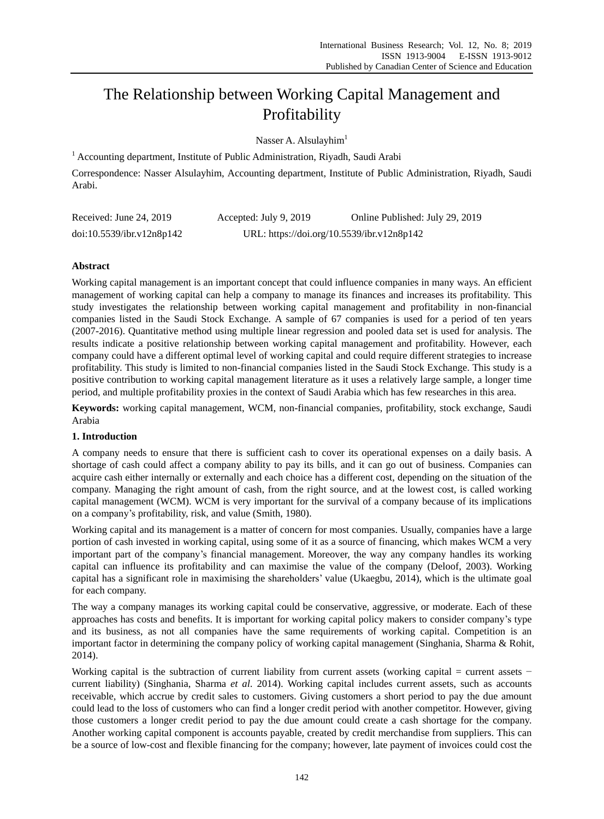# The Relationship between Working Capital Management and Profitability

Nasser A. Alsulayhim $<sup>1</sup>$ </sup>

<sup>1</sup> Accounting department, Institute of Public Administration, Riyadh, Saudi Arabi

Correspondence: Nasser Alsulayhim, Accounting department, Institute of Public Administration, Riyadh, Saudi Arabi.

| Received: June 24, 2019   | Accepted: July 9, 2019 | Online Published: July 29, 2019            |
|---------------------------|------------------------|--------------------------------------------|
| doi:10.5539/ibr.v12n8p142 |                        | URL: https://doi.org/10.5539/ibr.v12n8p142 |

# **Abstract**

Working capital management is an important concept that could influence companies in many ways. An efficient management of working capital can help a company to manage its finances and increases its profitability. This study investigates the relationship between working capital management and profitability in non-financial companies listed in the Saudi Stock Exchange. A sample of 67 companies is used for a period of ten years (2007-2016). Quantitative method using multiple linear regression and pooled data set is used for analysis. The results indicate a positive relationship between working capital management and profitability. However, each company could have a different optimal level of working capital and could require different strategies to increase profitability. This study is limited to non-financial companies listed in the Saudi Stock Exchange. This study is a positive contribution to working capital management literature as it uses a relatively large sample, a longer time period, and multiple profitability proxies in the context of Saudi Arabia which has few researches in this area.

**Keywords:** working capital management, WCM, non-financial companies, profitability, stock exchange, Saudi Arabia

## **1. Introduction**

A company needs to ensure that there is sufficient cash to cover its operational expenses on a daily basis. A shortage of cash could affect a company ability to pay its bills, and it can go out of business. Companies can acquire cash either internally or externally and each choice has a different cost, depending on the situation of the company. Managing the right amount of cash, from the right source, and at the lowest cost, is called working capital management (WCM). WCM is very important for the survival of a company because of its implications on a company's profitability, risk, and value (Smith, 1980).

Working capital and its management is a matter of concern for most companies. Usually, companies have a large portion of cash invested in working capital, using some of it as a source of financing, which makes WCM a very important part of the company's financial management. Moreover, the way any company handles its working capital can influence its profitability and can maximise the value of the company (Deloof, 2003). Working capital has a significant role in maximising the shareholders' value (Ukaegbu, 2014), which is the ultimate goal for each company.

The way a company manages its working capital could be conservative, aggressive, or moderate. Each of these approaches has costs and benefits. It is important for working capital policy makers to consider company's type and its business, as not all companies have the same requirements of working capital. Competition is an important factor in determining the company policy of working capital management (Singhania, Sharma & Rohit, 2014).

Working capital is the subtraction of current liability from current assets (working capital = current assets − current liability) (Singhania, Sharma *et al*. 2014). Working capital includes current assets, such as accounts receivable, which accrue by credit sales to customers. Giving customers a short period to pay the due amount could lead to the loss of customers who can find a longer credit period with another competitor. However, giving those customers a longer credit period to pay the due amount could create a cash shortage for the company. Another working capital component is accounts payable, created by credit merchandise from suppliers. This can be a source of low-cost and flexible financing for the company; however, late payment of invoices could cost the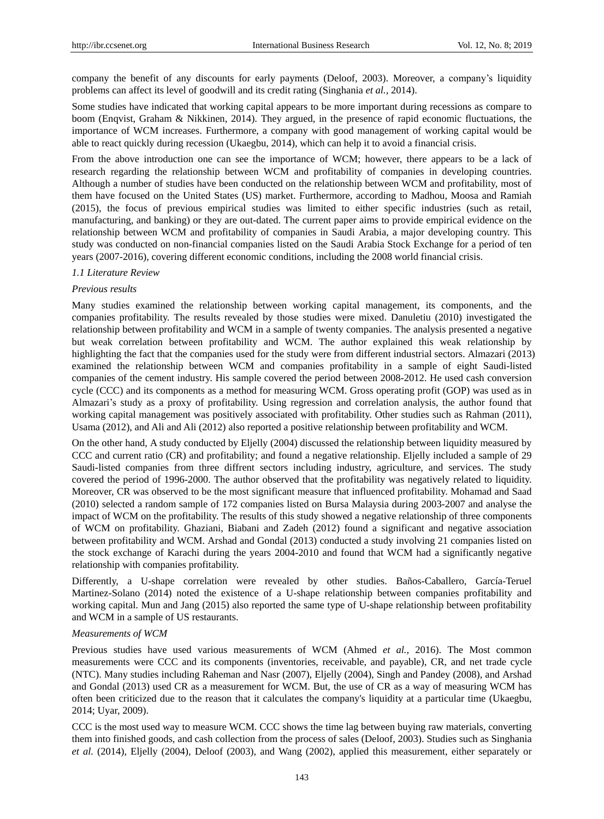company the benefit of any discounts for early payments (Deloof, 2003). Moreover, a company's liquidity problems can affect its level of goodwill and its credit rating (Singhania *et al.,* 2014).

Some studies have indicated that working capital appears to be more important during recessions as compare to boom (Enqvist, Graham & Nikkinen, 2014). They argued, in the presence of rapid economic fluctuations, the importance of WCM increases. Furthermore, a company with good management of working capital would be able to react quickly during recession (Ukaegbu, 2014), which can help it to avoid a financial crisis.

From the above introduction one can see the importance of WCM; however, there appears to be a lack of research regarding the relationship between WCM and profitability of companies in developing countries. Although a number of studies have been conducted on the relationship between WCM and profitability, most of them have focused on the United States (US) market. Furthermore, according to Madhou, Moosa and Ramiah (2015), the focus of previous empirical studies was limited to either specific industries (such as retail, manufacturing, and banking) or they are out-dated. The current paper aims to provide empirical evidence on the relationship between WCM and profitability of companies in Saudi Arabia, a major developing country. This study was conducted on non-financial companies listed on the Saudi Arabia Stock Exchange for a period of ten years (2007-2016), covering different economic conditions, including the 2008 world financial crisis.

#### *1.1 Literature Review*

#### *Previous results*

Many studies examined the relationship between working capital management, its components, and the companies profitability. The results revealed by those studies were mixed. Danuletiu (2010) investigated the relationship between profitability and WCM in a sample of twenty companies. The analysis presented a negative but weak correlation between profitability and WCM. The author explained this weak relationship by highlighting the fact that the companies used for the study were from different industrial sectors. Almazari (2013) examined the relationship between WCM and companies profitability in a sample of eight Saudi-listed companies of the cement industry. His sample covered the period between 2008-2012. He used cash conversion cycle (CCC) and its components as a method for measuring WCM. Gross operating profit (GOP) was used as in Almazari's study as a proxy of profitability. Using regression and correlation analysis, the author found that working capital management was positively associated with profitability. Other studies such as Rahman (2011), Usama (2012), and Ali and Ali (2012) also reported a positive relationship between profitability and WCM.

On the other hand, A study conducted by Eljelly (2004) discussed the relationship between liquidity measured by CCC and current ratio (CR) and profitability; and found a negative relationship. Eljelly included a sample of 29 Saudi-listed companies from three diffrent sectors including industry, agriculture, and services. The study covered the period of 1996-2000. The author observed that the profitability was negatively related to liquidity. Moreover, CR was observed to be the most significant measure that influenced profitability. Mohamad and Saad (2010) selected a random sample of 172 companies listed on Bursa Malaysia during 2003-2007 and analyse the impact of WCM on the profitability. The results of this study showed a negative relationship of three components of WCM on profitability. Ghaziani, Biabani and Zadeh (2012) found a significant and negative association between profitability and WCM. Arshad and Gondal (2013) conducted a study involving 21 companies listed on the stock exchange of Karachi during the years 2004-2010 and found that WCM had a significantly negative relationship with companies profitability.

Differently, a U-shape correlation were revealed by other studies. Baños-Caballero, García-Teruel Martinez-Solano (2014) noted the existence of a U-shape relationship between companies profitability and working capital. Mun and Jang (2015) also reported the same type of U-shape relationship between profitability and WCM in a sample of US restaurants.

#### *Measurements of WCM*

Previous studies have used various measurements of WCM (Ahmed *et al.,* 2016). The Most common measurements were CCC and its components (inventories, receivable, and payable), CR, and net trade cycle (NTC). Many studies including Raheman and Nasr (2007), Eljelly (2004), Singh and Pandey (2008), and Arshad and Gondal (2013) used CR as a measurement for WCM. But, the use of CR as a way of measuring WCM has often been criticized due to the reason that it calculates the company's liquidity at a particular time (Ukaegbu, 2014; Uyar, 2009).

CCC is the most used way to measure WCM. CCC shows the time lag between buying raw materials, converting them into finished goods, and cash collection from the process of sales (Deloof, 2003). Studies such as Singhania *et al.* (2014), Eljelly (2004), Deloof (2003), and Wang (2002), applied this measurement, either separately or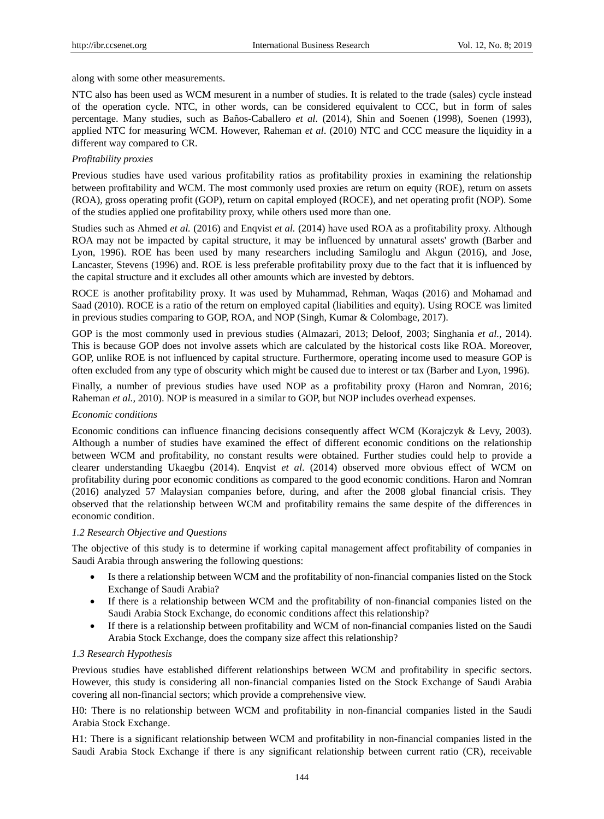along with some other measurements.

NTC also has been used as WCM mesurent in a number of studies. It is related to the trade (sales) cycle instead of the operation cycle. NTC, in other words, can be considered equivalent to CCC, but in form of sales percentage. Many studies, such as Baños-Caballero *et al*. (2014), Shin and Soenen (1998), Soenen (1993), applied NTC for measuring WCM. However, Raheman *et al*. (2010) NTC and CCC measure the liquidity in a different way compared to CR.

# *Profitability proxies*

Previous studies have used various profitability ratios as profitability proxies in examining the relationship between profitability and WCM. The most commonly used proxies are return on equity (ROE), return on assets (ROA), gross operating profit (GOP), return on capital employed (ROCE), and net operating profit (NOP). Some of the studies applied one profitability proxy, while others used more than one.

Studies such as Ahmed *et al.* (2016) and Enqvist *et al.* (2014) have used ROA as a profitability proxy. Although ROA may not be impacted by capital structure, it may be influenced by unnatural assets' growth (Barber and Lyon, 1996). ROE has been used by many researchers including Samiloglu and Akgun (2016), and Jose, Lancaster, Stevens (1996) and. ROE is less preferable profitability proxy due to the fact that it is influenced by the capital structure and it excludes all other amounts which are invested by debtors.

ROCE is another profitability proxy. It was used by Muhammad, Rehman, Waqas (2016) and Mohamad and Saad (2010). ROCE is a ratio of the return on employed capital (liabilities and equity). Using ROCE was limited in previous studies comparing to GOP, ROA, and NOP (Singh, Kumar & Colombage, 2017).

GOP is the most commonly used in previous studies (Almazari, 2013; Deloof, 2003; Singhania *et al.,* 2014). This is because GOP does not involve assets which are calculated by the historical costs like ROA. Moreover, GOP, unlike ROE is not influenced by capital structure. Furthermore, operating income used to measure GOP is often excluded from any type of obscurity which might be caused due to interest or tax (Barber and Lyon, 1996).

Finally, a number of previous studies have used NOP as a profitability proxy (Haron and Nomran, 2016; Raheman *et al.,* 2010). NOP is measured in a similar to GOP, but NOP includes overhead expenses.

#### *Economic conditions*

Economic conditions can influence financing decisions consequently affect WCM (Korajczyk & Levy, 2003). Although a number of studies have examined the effect of different economic conditions on the relationship between WCM and profitability, no constant results were obtained. Further studies could help to provide a clearer understanding Ukaegbu (2014). Enqvist *et al*. (2014) observed more obvious effect of WCM on profitability during poor economic conditions as compared to the good economic conditions. Haron and Nomran (2016) analyzed 57 Malaysian companies before, during, and after the 2008 global financial crisis. They observed that the relationship between WCM and profitability remains the same despite of the differences in economic condition.

#### *1.2 Research Objective and Questions*

The objective of this study is to determine if working capital management affect profitability of companies in Saudi Arabia through answering the following questions:

- Is there a relationship between WCM and the profitability of non-financial companies listed on the Stock Exchange of Saudi Arabia?
- If there is a relationship between WCM and the profitability of non-financial companies listed on the Saudi Arabia Stock Exchange, do economic conditions affect this relationship?
- If there is a relationship between profitability and WCM of non-financial companies listed on the Saudi Arabia Stock Exchange, does the company size affect this relationship?

#### *1.3 Research Hypothesis*

Previous studies have established different relationships between WCM and profitability in specific sectors. However, this study is considering all non-financial companies listed on the Stock Exchange of Saudi Arabia covering all non-financial sectors; which provide a comprehensive view.

H0: There is no relationship between WCM and profitability in non-financial companies listed in the Saudi Arabia Stock Exchange.

H1: There is a significant relationship between WCM and profitability in non-financial companies listed in the Saudi Arabia Stock Exchange if there is any significant relationship between current ratio (CR), receivable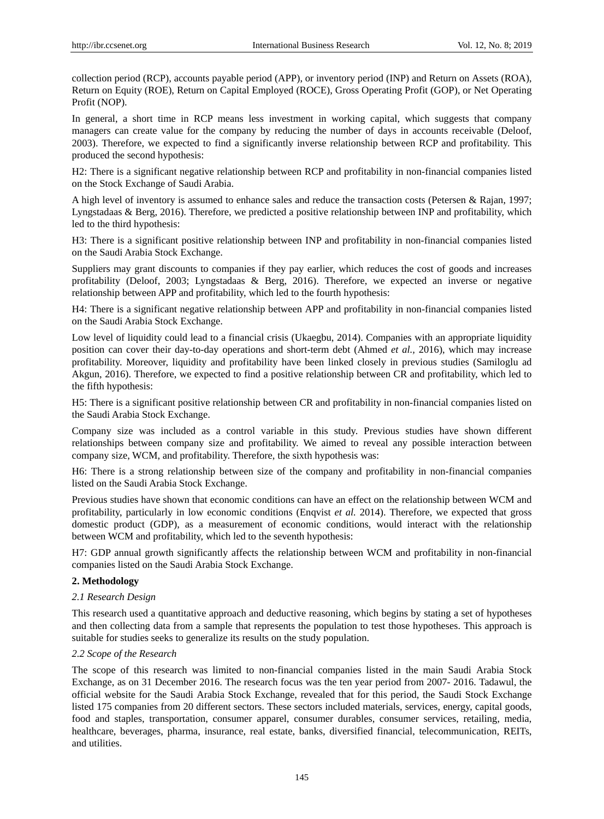collection period (RCP), accounts payable period (APP), or inventory period (INP) and Return on Assets (ROA), Return on Equity (ROE), Return on Capital Employed (ROCE), Gross Operating Profit (GOP), or Net Operating Profit (NOP).

In general, a short time in RCP means less investment in working capital, which suggests that company managers can create value for the company by reducing the number of days in accounts receivable (Deloof, 2003). Therefore, we expected to find a significantly inverse relationship between RCP and profitability. This produced the second hypothesis:

H2: There is a significant negative relationship between RCP and profitability in non-financial companies listed on the Stock Exchange of Saudi Arabia.

A high level of inventory is assumed to enhance sales and reduce the transaction costs (Petersen & Rajan, 1997; Lyngstadaas & Berg, 2016). Therefore, we predicted a positive relationship between INP and profitability, which led to the third hypothesis:

H3: There is a significant positive relationship between INP and profitability in non-financial companies listed on the Saudi Arabia Stock Exchange.

Suppliers may grant discounts to companies if they pay earlier, which reduces the cost of goods and increases profitability (Deloof, 2003; Lyngstadaas & Berg, 2016). Therefore, we expected an inverse or negative relationship between APP and profitability, which led to the fourth hypothesis:

H4: There is a significant negative relationship between APP and profitability in non-financial companies listed on the Saudi Arabia Stock Exchange.

Low level of liquidity could lead to a financial crisis (Ukaegbu, 2014). Companies with an appropriate liquidity position can cover their day-to-day operations and short-term debt (Ahmed *et al.,* 2016), which may increase profitability. Moreover, liquidity and profitability have been linked closely in previous studies (Samiloglu ad Akgun, 2016). Therefore, we expected to find a positive relationship between CR and profitability, which led to the fifth hypothesis:

H5: There is a significant positive relationship between CR and profitability in non-financial companies listed on the Saudi Arabia Stock Exchange.

Company size was included as a control variable in this study. Previous studies have shown different relationships between company size and profitability. We aimed to reveal any possible interaction between company size, WCM, and profitability. Therefore, the sixth hypothesis was:

H6: There is a strong relationship between size of the company and profitability in non-financial companies listed on the Saudi Arabia Stock Exchange.

Previous studies have shown that economic conditions can have an effect on the relationship between WCM and profitability, particularly in low economic conditions (Enqvist *et al.* 2014). Therefore, we expected that gross domestic product (GDP), as a measurement of economic conditions, would interact with the relationship between WCM and profitability, which led to the seventh hypothesis:

H7: GDP annual growth significantly affects the relationship between WCM and profitability in non-financial companies listed on the Saudi Arabia Stock Exchange.

## **2. Methodology**

## *2.1 Research Design*

This research used a quantitative approach and deductive reasoning, which begins by stating a set of hypotheses and then collecting data from a sample that represents the population to test those hypotheses. This approach is suitable for studies seeks to generalize its results on the study population.

## *2.2 Scope of the Research*

The scope of this research was limited to non-financial companies listed in the main Saudi Arabia Stock Exchange, as on 31 December 2016. The research focus was the ten year period from 2007- 2016. Tadawul, the official website for the Saudi Arabia Stock Exchange, revealed that for this period, the Saudi Stock Exchange listed 175 companies from 20 different sectors. These sectors included materials, services, energy, capital goods, food and staples, transportation, consumer apparel, consumer durables, consumer services, retailing, media, healthcare, beverages, pharma, insurance, real estate, banks, diversified financial, telecommunication, REITs, and utilities.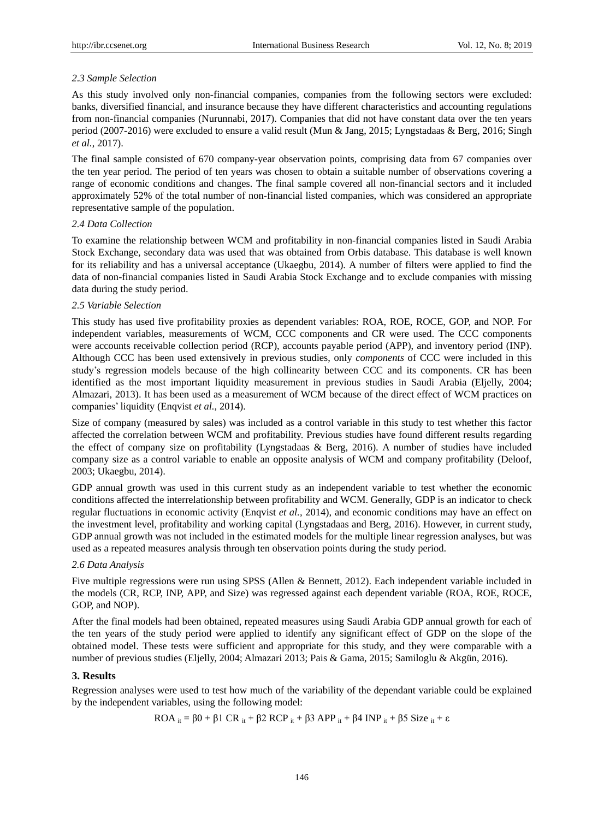# *2.3 Sample Selection*

As this study involved only non-financial companies, companies from the following sectors were excluded: banks, diversified financial, and insurance because they have different characteristics and accounting regulations from non-financial companies (Nurunnabi, 2017). Companies that did not have constant data over the ten years period (2007-2016) were excluded to ensure a valid result (Mun & Jang, 2015; Lyngstadaas & Berg, 2016; Singh *et al.*, 2017).

The final sample consisted of 670 company-year observation points, comprising data from 67 companies over the ten year period. The period of ten years was chosen to obtain a suitable number of observations covering a range of economic conditions and changes. The final sample covered all non-financial sectors and it included approximately 52% of the total number of non-financial listed companies, which was considered an appropriate representative sample of the population.

## *2.4 Data Collection*

To examine the relationship between WCM and profitability in non-financial companies listed in Saudi Arabia Stock Exchange, secondary data was used that was obtained from Orbis database. This database is well known for its reliability and has a universal acceptance (Ukaegbu, 2014). A number of filters were applied to find the data of non-financial companies listed in Saudi Arabia Stock Exchange and to exclude companies with missing data during the study period.

## *2.5 Variable Selection*

This study has used five profitability proxies as dependent variables: ROA, ROE, ROCE, GOP, and NOP. For independent variables, measurements of WCM, CCC components and CR were used. The CCC components were accounts receivable collection period (RCP), accounts payable period (APP), and inventory period (INP). Although CCC has been used extensively in previous studies, only *components* of CCC were included in this study's regression models because of the high collinearity between CCC and its components. CR has been identified as the most important liquidity measurement in previous studies in Saudi Arabia (Eljelly, 2004; Almazari, 2013). It has been used as a measurement of WCM because of the direct effect of WCM practices on companies' liquidity (Enqvist *et al.,* 2014).

Size of company (measured by sales) was included as a control variable in this study to test whether this factor affected the correlation between WCM and profitability. Previous studies have found different results regarding the effect of company size on profitability (Lyngstadaas & Berg, 2016). A number of studies have included company size as a control variable to enable an opposite analysis of WCM and company profitability (Deloof, 2003; Ukaegbu, 2014).

GDP annual growth was used in this current study as an independent variable to test whether the economic conditions affected the interrelationship between profitability and WCM. Generally, GDP is an indicator to check regular fluctuations in economic activity (Enqvist *et al.,* 2014), and economic conditions may have an effect on the investment level, profitability and working capital (Lyngstadaas and Berg, 2016). However, in current study, GDP annual growth was not included in the estimated models for the multiple linear regression analyses, but was used as a repeated measures analysis through ten observation points during the study period.

## *2.6 Data Analysis*

Five multiple regressions were run using SPSS (Allen & Bennett, 2012). Each independent variable included in the models (CR, RCP, INP, APP, and Size) was regressed against each dependent variable (ROA, ROE, ROCE, GOP, and NOP).

After the final models had been obtained, repeated measures using Saudi Arabia GDP annual growth for each of the ten years of the study period were applied to identify any significant effect of GDP on the slope of the obtained model. These tests were sufficient and appropriate for this study, and they were comparable with a number of previous studies (Eljelly, 2004; Almazari 2013; Pais & Gama, 2015; Samiloglu & Akgün, 2016).

## **3. Results**

Regression analyses were used to test how much of the variability of the dependant variable could be explained by the independent variables, using the following model:

ROA  $_{it} = \beta 0 + \beta 1 \, \text{CR}_{it} + \beta 2 \, \text{RCP}_{it} + \beta 3 \, \text{APP}_{it} + \beta 4 \, \text{INP}_{it} + \beta 5 \, \text{Size}_{it} + \varepsilon$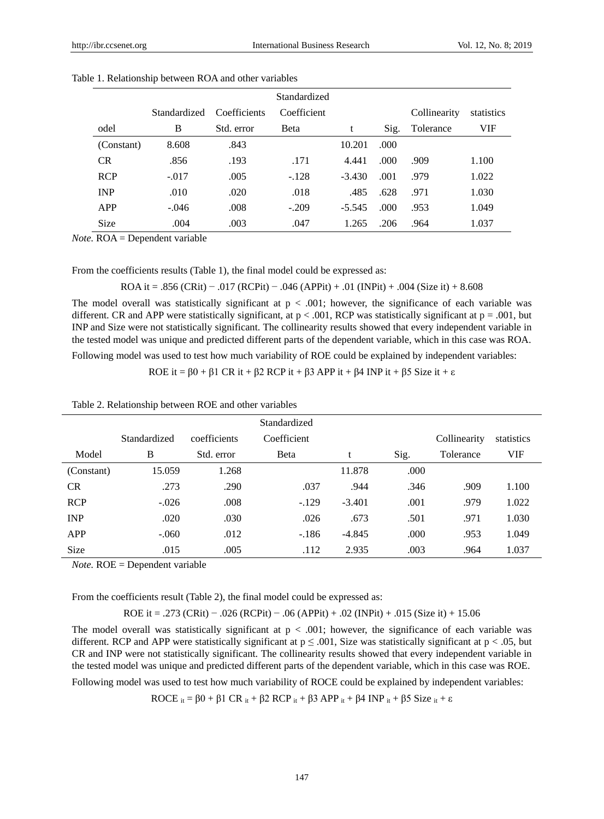|             |              |              | Standardized |          |       |              |            |
|-------------|--------------|--------------|--------------|----------|-------|--------------|------------|
|             | Standardized | Coefficients | Coefficient  |          |       | Collinearity | statistics |
| odel        | B            | Std. error   | <b>B</b> eta | t        | Sig.  | Tolerance    | VIF        |
| (Constant)  | 8.608        | .843         |              | 10.201   | .000. |              |            |
| CR          | .856         | .193         | .171         | 4.441    | .000  | .909         | 1.100      |
| <b>RCP</b>  | $-.017$      | .005         | $-.128$      | $-3.430$ | .001  | .979         | 1.022      |
| <b>INP</b>  | .010         | .020         | .018         | .485     | .628  | .971         | 1.030      |
| <b>APP</b>  | $-.046$      | .008         | $-.209$      | $-5.545$ | .000  | .953         | 1.049      |
| <b>Size</b> | .004         | .003         | .047         | 1.265    | .206  | .964         | 1.037      |

| Table 1. Relationship between ROA and other variables |  |  |  |  |
|-------------------------------------------------------|--|--|--|--|
|-------------------------------------------------------|--|--|--|--|

*Note.* ROA = Dependent variable

From the coefficients results (Table 1), the final model could be expressed as:

ROA it = .856 (CRit) − .017 (RCPit) − .046 (APPit) + .01 (INPit) + .004 (Size it) + 8.608

The model overall was statistically significant at  $p < .001$ ; however, the significance of each variable was different. CR and APP were statistically significant, at  $p < .001$ , RCP was statistically significant at  $p = .001$ , but INP and Size were not statistically significant. The collinearity results showed that every independent variable in the tested model was unique and predicted different parts of the dependent variable, which in this case was ROA.

Following model was used to test how much variability of ROE could be explained by independent variables:

ROE it =  $\beta$ 0 +  $\beta$ 1 CR it +  $\beta$ 2 RCP it +  $\beta$ 3 APP it +  $\beta$ 4 INP it +  $\beta$ 5 Size it + ε

| Table 2. Relationship between ROE and other variables |  |  |  |  |
|-------------------------------------------------------|--|--|--|--|
|-------------------------------------------------------|--|--|--|--|

|             |              |              | Standardized |          |      |              |            |
|-------------|--------------|--------------|--------------|----------|------|--------------|------------|
|             | Standardized | coefficients | Coefficient  |          |      | Collinearity | statistics |
| Model       | B            | Std. error   | Beta         |          | Sig. | Tolerance    | VIF        |
| (Constant)  | 15.059       | 1.268        |              | 11.878   | .000 |              |            |
| <b>CR</b>   | .273         | .290         | .037         | .944     | .346 | .909         | 1.100      |
| <b>RCP</b>  | $-.026$      | .008         | $-129$       | $-3.401$ | .001 | .979         | 1.022      |
| <b>INP</b>  | .020         | .030         | .026         | .673     | .501 | .971         | 1.030      |
| <b>APP</b>  | $-.060$      | .012         | $-.186$      | $-4.845$ | .000 | .953         | 1.049      |
| <b>Size</b> | .015         | .005         | .112         | 2.935    | .003 | .964         | 1.037      |

*Note.* ROE = Dependent variable

From the coefficients result (Table 2), the final model could be expressed as:

ROE it = .273 (CRit) − .026 (RCPit) − .06 (APPit) + .02 (INPit) + .015 (Size it) + 15.06

The model overall was statistically significant at  $p < .001$ ; however, the significance of each variable was different. RCP and APP were statistically significant at  $p \le 0.001$ , Size was statistically significant at  $p < 0.05$ , but CR and INP were not statistically significant. The collinearity results showed that every independent variable in the tested model was unique and predicted different parts of the dependent variable, which in this case was ROE.

Following model was used to test how much variability of ROCE could be explained by independent variables:

ROCE  $_{it} = \beta 0 + \beta 1 \, \text{CR}_{it} + \beta 2 \, \text{RCP}_{it} + \beta 3 \, \text{APP}_{it} + \beta 4 \, \text{INP}_{it} + \beta 5 \, \text{Size}_{it} + \varepsilon$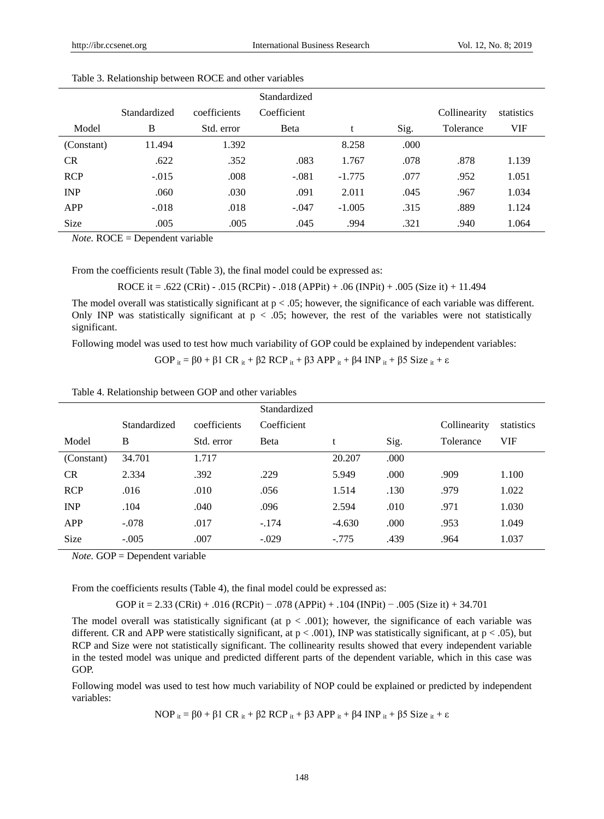|             |              |              | Standardized |          |      |              |            |  |
|-------------|--------------|--------------|--------------|----------|------|--------------|------------|--|
|             | Standardized | coefficients | Coefficient  |          |      | Collinearity | statistics |  |
| Model       | B            | Std. error   | <b>B</b> eta | t        | Sig. | Tolerance    | VIF        |  |
| (Constant)  | 11.494       | 1.392        |              | 8.258    | .000 |              |            |  |
| <b>CR</b>   | .622         | .352         | .083         | 1.767    | .078 | .878         | 1.139      |  |
| <b>RCP</b>  | $-.015$      | .008         | $-.081$      | $-1.775$ | .077 | .952         | 1.051      |  |
| <b>INP</b>  | .060         | .030         | .091         | 2.011    | .045 | .967         | 1.034      |  |
| <b>APP</b>  | $-.018$      | .018         | $-.047$      | $-1.005$ | .315 | .889         | 1.124      |  |
| <b>Size</b> | .005         | .005         | .045         | .994     | .321 | .940         | 1.064      |  |

| Table 3. Relationship between ROCE and other variables |  |  |  |  |
|--------------------------------------------------------|--|--|--|--|
|--------------------------------------------------------|--|--|--|--|

*Note.* ROCE = Dependent variable

From the coefficients result (Table 3), the final model could be expressed as:

ROCE it = .622 (CRit) - .015 (RCPit) - .018 (APPit) + .06 (INPit) + .005 (Size it) + 11.494

The model overall was statistically significant at  $p < .05$ ; however, the significance of each variable was different. Only INP was statistically significant at  $p < .05$ ; however, the rest of the variables were not statistically significant.

Following model was used to test how much variability of GOP could be explained by independent variables:

GOP  $_{it} = \beta 0 + \beta 1 \, \text{CR}_{it} + \beta 2 \, \text{RCP}_{it} + \beta 3 \, \text{APP}_{it} + \beta 4 \, \text{INP}_{it} + \beta 5 \, \text{Size}_{it} + \epsilon$ 

Table 4. Relationship between GOP and other variables

|             |              |              | Standardized |          |      |              |            |
|-------------|--------------|--------------|--------------|----------|------|--------------|------------|
|             | Standardized | coefficients | Coefficient  |          |      | Collinearity | statistics |
| Model       | B            | Std. error   | Beta         | t        | Sig. | Tolerance    | <b>VIF</b> |
| (Constant)  | 34.701       | 1.717        |              | 20.207   | .000 |              |            |
| <b>CR</b>   | 2.334        | .392         | .229         | 5.949    | .000 | .909         | 1.100      |
| <b>RCP</b>  | .016         | .010         | .056         | 1.514    | .130 | .979         | 1.022      |
| <b>INP</b>  | .104         | .040         | .096         | 2.594    | .010 | .971         | 1.030      |
| APP         | $-.078$      | .017         | $-.174$      | $-4.630$ | .000 | .953         | 1.049      |
| <b>Size</b> | $-.005$      | .007         | $-.029$      | $-.775$  | .439 | .964         | 1.037      |

*Note.* GOP = Dependent variable

From the coefficients results (Table 4), the final model could be expressed as:

GOP it = 2.33 (CRit) + .016 (RCPit) − .078 (APPit) + .104 (INPit) − .005 (Size it) + 34.701

The model overall was statistically significant (at  $p < .001$ ); however, the significance of each variable was different. CR and APP were statistically significant, at  $p < .001$ ), INP was statistically significant, at  $p < .05$ ), but RCP and Size were not statistically significant. The collinearity results showed that every independent variable in the tested model was unique and predicted different parts of the dependent variable, which in this case was GOP.

Following model was used to test how much variability of NOP could be explained or predicted by independent variables:

NOP  $_{it}$  = β0 + β1 CR  $_{it}$  + β2 RCP  $_{it}$  + β3 APP  $_{it}$  + β4 INP  $_{it}$  + β5 Size  $_{it}$  + ε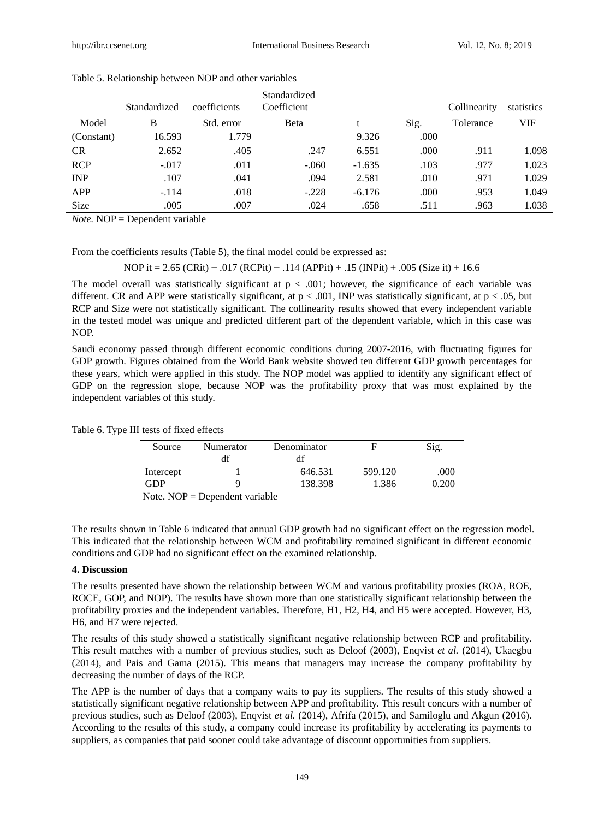|             | Standardized | coefficients | Standardized<br>Coefficient |          |      | Collinearity | statistics |
|-------------|--------------|--------------|-----------------------------|----------|------|--------------|------------|
| Model       | B            | Std. error   | <b>Beta</b>                 |          | Sig. | Tolerance    | VIF        |
| (Constant)  | 16.593       | 1.779        |                             | 9.326    | .000 |              |            |
| <b>CR</b>   | 2.652        | .405         | .247                        | 6.551    | .000 | .911         | 1.098      |
| <b>RCP</b>  | $-.017$      | .011         | $-.060$                     | $-1.635$ | .103 | .977         | 1.023      |
| <b>INP</b>  | .107         | .041         | .094                        | 2.581    | .010 | .971         | 1.029      |
| APP         | $-.114$      | .018         | $-.228$                     | $-6.176$ | .000 | .953         | 1.049      |
| <b>Size</b> | .005         | .007         | .024                        | .658     | .511 | .963         | 1.038      |

| Table 5. Relationship between NOP and other variables |  |  |  |  |
|-------------------------------------------------------|--|--|--|--|
|-------------------------------------------------------|--|--|--|--|

*Note.* NOP = Dependent variable

From the coefficients results (Table 5), the final model could be expressed as:

NOP it = 2.65 (CRit) − .017 (RCPit) − .114 (APPit) + .15 (INPit) + .005 (Size it) + 16.6

The model overall was statistically significant at  $p < .001$ ; however, the significance of each variable was different. CR and APP were statistically significant, at p < .001, INP was statistically significant, at p < .05, but RCP and Size were not statistically significant. The collinearity results showed that every independent variable in the tested model was unique and predicted different part of the dependent variable, which in this case was NOP.

Saudi economy passed through different economic conditions during 2007-2016, with fluctuating figures for GDP growth. Figures obtained from the World Bank website showed ten different GDP growth percentages for these years, which were applied in this study. The NOP model was applied to identify any significant effect of GDP on the regression slope, because NOP was the profitability proxy that was most explained by the independent variables of this study.

|  | Table 6. Type III tests of fixed effects |  |  |  |
|--|------------------------------------------|--|--|--|
|--|------------------------------------------|--|--|--|

| Source                    | Numerator | Denominator |         | Sig.  |
|---------------------------|-----------|-------------|---------|-------|
|                           | dt        |             |         |       |
| Intercept                 |           | 646.531     | 599.120 | .000  |
| GDP                       |           | 138.398     | 1.386   | 0.200 |
| $\mathbf{v}$ $\mathbf{v}$ |           |             |         |       |

Note. NOP = Dependent variable

The results shown in Table 6 indicated that annual GDP growth had no significant effect on the regression model. This indicated that the relationship between WCM and profitability remained significant in different economic conditions and GDP had no significant effect on the examined relationship.

#### **4. Discussion**

The results presented have shown the relationship between WCM and various profitability proxies (ROA, ROE, ROCE, GOP, and NOP). The results have shown more than one statistically significant relationship between the profitability proxies and the independent variables. Therefore, H1, H2, H4, and H5 were accepted. However, H3, H6, and H7 were rejected.

The results of this study showed a statistically significant negative relationship between RCP and profitability. This result matches with a number of previous studies, such as Deloof (2003), Enqvist *et al.* (2014), Ukaegbu (2014), and Pais and Gama (2015). This means that managers may increase the company profitability by decreasing the number of days of the RCP.

The APP is the number of days that a company waits to pay its suppliers. The results of this study showed a statistically significant negative relationship between APP and profitability. This result concurs with a number of previous studies, such as Deloof (2003), Enqvist *et al.* (2014), Afrifa (2015), and Samiloglu and Akgun (2016). According to the results of this study, a company could increase its profitability by accelerating its payments to suppliers, as companies that paid sooner could take advantage of discount opportunities from suppliers.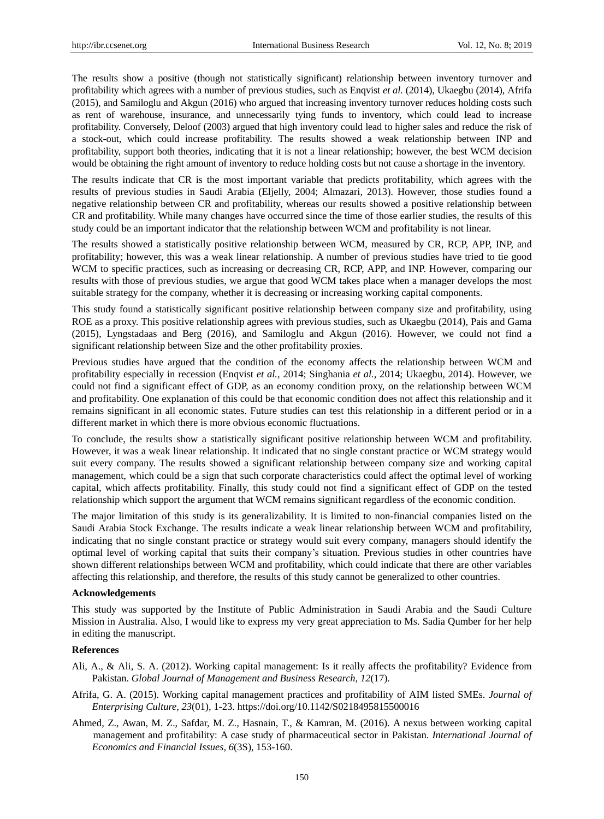The results show a positive (though not statistically significant) relationship between inventory turnover and profitability which agrees with a number of previous studies, such as Enqvist *et al.* (2014), Ukaegbu (2014), Afrifa (2015), and Samiloglu and Akgun (2016) who argued that increasing inventory turnover reduces holding costs such as rent of warehouse, insurance, and unnecessarily tying funds to inventory, which could lead to increase profitability. Conversely, Deloof (2003) argued that high inventory could lead to higher sales and reduce the risk of a stock-out, which could increase profitability. The results showed a weak relationship between INP and profitability, support both theories, indicating that it is not a linear relationship; however, the best WCM decision would be obtaining the right amount of inventory to reduce holding costs but not cause a shortage in the inventory.

The results indicate that CR is the most important variable that predicts profitability, which agrees with the results of previous studies in Saudi Arabia (Eljelly, 2004; Almazari, 2013). However, those studies found a negative relationship between CR and profitability, whereas our results showed a positive relationship between CR and profitability. While many changes have occurred since the time of those earlier studies, the results of this study could be an important indicator that the relationship between WCM and profitability is not linear.

The results showed a statistically positive relationship between WCM, measured by CR, RCP, APP, INP, and profitability; however, this was a weak linear relationship. A number of previous studies have tried to tie good WCM to specific practices, such as increasing or decreasing CR, RCP, APP, and INP. However, comparing our results with those of previous studies, we argue that good WCM takes place when a manager develops the most suitable strategy for the company, whether it is decreasing or increasing working capital components.

This study found a statistically significant positive relationship between company size and profitability, using ROE as a proxy. This positive relationship agrees with previous studies, such as Ukaegbu (2014), Pais and Gama (2015), Lyngstadaas and Berg (2016), and Samiloglu and Akgun (2016). However, we could not find a significant relationship between Size and the other profitability proxies.

Previous studies have argued that the condition of the economy affects the relationship between WCM and profitability especially in recession (Enqvist *et al.,* 2014; Singhania *et al.,* 2014; Ukaegbu, 2014). However, we could not find a significant effect of GDP, as an economy condition proxy, on the relationship between WCM and profitability. One explanation of this could be that economic condition does not affect this relationship and it remains significant in all economic states. Future studies can test this relationship in a different period or in a different market in which there is more obvious economic fluctuations.

To conclude, the results show a statistically significant positive relationship between WCM and profitability. However, it was a weak linear relationship. It indicated that no single constant practice or WCM strategy would suit every company. The results showed a significant relationship between company size and working capital management, which could be a sign that such corporate characteristics could affect the optimal level of working capital, which affects profitability. Finally, this study could not find a significant effect of GDP on the tested relationship which support the argument that WCM remains significant regardless of the economic condition.

The major limitation of this study is its generalizability. It is limited to non-financial companies listed on the Saudi Arabia Stock Exchange. The results indicate a weak linear relationship between WCM and profitability, indicating that no single constant practice or strategy would suit every company, managers should identify the optimal level of working capital that suits their company's situation. Previous studies in other countries have shown different relationships between WCM and profitability, which could indicate that there are other variables affecting this relationship, and therefore, the results of this study cannot be generalized to other countries.

#### **Acknowledgements**

This study was supported by the Institute of Public Administration in Saudi Arabia and the Saudi Culture Mission in Australia. Also, I would like to express my very great appreciation to Ms. Sadia Qumber for her help in editing the manuscript.

#### **References**

- Ali, A., & Ali, S. A. (2012). Working capital management: Is it really affects the profitability? Evidence from Pakistan. *Global Journal of Management and Business Research, 12*(17).
- Afrifa, G. A. (2015). Working capital management practices and profitability of AIM listed SMEs. *Journal of Enterprising Culture, 23*(01), 1-23. https://doi.org/10.1142/S0218495815500016
- Ahmed, Z., Awan, M. Z., Safdar, M. Z., Hasnain, T., & Kamran, M. (2016). A nexus between working capital management and profitability: A case study of pharmaceutical sector in Pakistan. *International Journal of Economics and Financial Issues, 6*(3S), 153-160.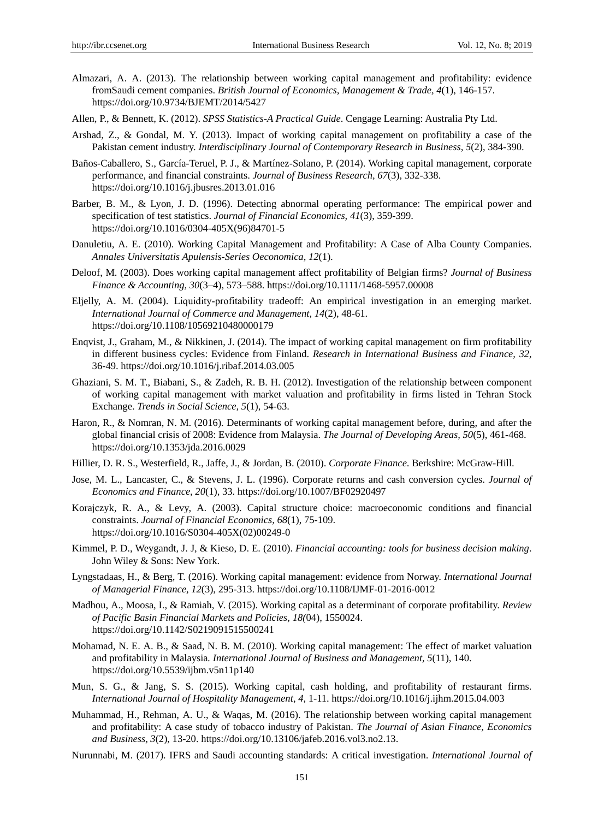- Almazari, A. A. (2013). The relationship between working capital management and profitability: evidence fromSaudi cement companies. *British Journal of Economics, Management & Trade, 4*(1), 146-157. https://doi.org/10.9734/BJEMT/2014/5427
- Allen, P., & Bennett, K. (2012). *SPSS Statistics-A Practical Guide*. Cengage Learning: Australia Pty Ltd.
- Arshad, Z., & Gondal, M. Y. (2013). Impact of working capital management on profitability a case of the Pakistan cement industry. *Interdisciplinary Journal of Contemporary Research in Business, 5*(2), 384-390.
- Baños-Caballero, S., Garc á-Teruel, P. J., & Mart nez-Solano, P. (2014). Working capital management, corporate performance, and financial constraints. *Journal of Business Research, 67*(3), 332-338. https://doi.org/10.1016/j.jbusres.2013.01.016
- Barber, B. M., & Lyon, J. D. (1996). Detecting abnormal operating performance: The empirical power and specification of test statistics. *Journal of Financial Economics, 41*(3), 359-399. https://doi.org/10.1016/0304-405X(96)84701-5
- Danuletiu, A. E. (2010). Working Capital Management and Profitability: A Case of Alba County Companies. *Annales Universitatis Apulensis-Series Oeconomica, 12*(1).
- Deloof, M. (2003). Does working capital management affect profitability of Belgian firms? *Journal of Business Finance & Accounting, 30*(3–4), 573–588. https://doi.org/10.1111/1468-5957.00008
- Eljelly, A. M. (2004). Liquidity‐profitability tradeoff: An empirical investigation in an emerging market*. International Journal of Commerce and Management, 14*(2), 48-61. https://doi.org/10.1108/10569210480000179
- Enqvist, J., Graham, M., & Nikkinen, J. (2014). The impact of working capital management on firm profitability in different business cycles: Evidence from Finland. *Research in International Business and Finance, 32*, 36-49. https://doi.org/10.1016/j.ribaf.2014.03.005
- Ghaziani, S. M. T., Biabani, S., & Zadeh, R. B. H. (2012). Investigation of the relationship between component of working capital management with market valuation and profitability in firms listed in Tehran Stock Exchange. *Trends in Social Science, 5*(1), 54-63.
- Haron, R., & Nomran, N. M. (2016). Determinants of working capital management before, during, and after the global financial crisis of 2008: Evidence from Malaysia. *The Journal of Developing Areas, 50*(5), 461-468. https://doi.org/10.1353/jda.2016.0029
- Hillier, D. R. S., Westerfield, R., Jaffe, J., & Jordan, B. (2010). *Corporate Finance*. Berkshire: McGraw-Hill.
- Jose, M. L., Lancaster, C., & Stevens, J. L. (1996). Corporate returns and cash conversion cycles. *Journal of Economics and Finance, 20*(1), 33. https://doi.org/10.1007/BF02920497
- Korajczyk, R. A., & Levy, A. (2003). Capital structure choice: macroeconomic conditions and financial constraints. *Journal of Financial Economics, 68*(1), 75-109. https://doi.org/10.1016/S0304-405X(02)00249-0
- Kimmel, P. D., Weygandt, J. J, & Kieso, D. E. (2010). *Financial accounting: tools for business decision making*. John Wiley & Sons: New York.
- Lyngstadaas, H., & Berg, T. (2016). Working capital management: evidence from Norway. *International Journal of Managerial Finance, 12*(3), 295-313. https://doi.org/10.1108/IJMF-01-2016-0012
- Madhou, A., Moosa, I., & Ramiah, V. (2015). Working capital as a determinant of corporate profitability. *Review of Pacific Basin Financial Markets and Policies, 18(*04), 1550024. https://doi.org/10.1142/S0219091515500241
- Mohamad, N. E. A. B., & Saad, N. B. M. (2010). Working capital management: The effect of market valuation and profitability in Malaysia*. International Journal of Business and Management, 5*(11), 140. https://doi.org/10.5539/ijbm.v5n11p140
- Mun, S. G., & Jang, S. S. (2015). Working capital, cash holding, and profitability of restaurant firms. *International Journal of Hospitality Management, 4,* 1-11. https://doi.org/10.1016/j.ijhm.2015.04.003
- Muhammad, H., Rehman, A. U., & Waqas, M. (2016). The relationship between working capital management and profitability: A case study of tobacco industry of Pakistan. *The Journal of Asian Finance, Economics and Business, 3*(2), 13-20. https://doi.org/10.13106/jafeb.2016.vol3.no2.13.
- Nurunnabi, M. (2017). IFRS and Saudi accounting standards: A critical investigation. *International Journal of*